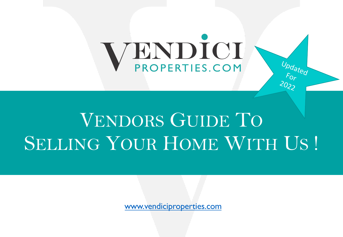# PROPERTIES.COM

## VENDORS GUIDE TO SELLING YOUR HOME WITH

www.vendiciproperties.com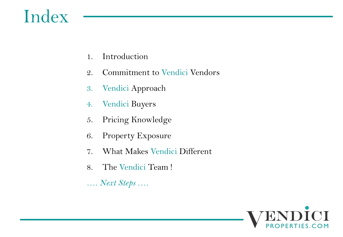## Index

- 1. Introduction
- 2. Commitment to Vendici Vendors
- 3. Vendici Approach
- 4. Vendici Buyers
- 5. Pricing Knowledge
- 6. Property Exposure
- 7. What Makes Vendici Different
- 8. The Vendici Team !
- *…. Next Steps ….*

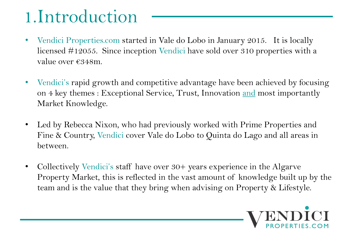## 1.Introduction

- Vendici Properties.com started in Vale do Lobo in January 2015. It is locally licensed #12055. Since inception Vendici have sold over 310 properties with a value over €348m.
- Vendici's rapid growth and competitive advantage have been achieved by focusing on 4 key themes : Exceptional Service, Trust, Innovation and most importantly Market Knowledge.
- Led by Rebecca Nixon, who had previously worked with Prime Properties and Fine & Country, Vendici cover Vale do Lobo to Quinta do Lago and all areas in between.
- Collectively Vendici's staff have over 30+ years experience in the Algarve Property Market, this is reflected in the vast amount of knowledge built up by the team and is the value that they bring when advising on Property & Lifestyle.

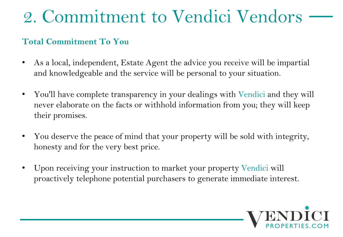## 2. Commitment to Vendici Vendors

### **Total Commitment To You**

- As a local, independent, Estate Agent the advice you receive will be impartial and knowledgeable and the service will be personal to your situation.
- You'll have complete transparency in your dealings with Vendici and they will never elaborate on the facts or withhold information from you; they will keep their promises.
- You deserve the peace of mind that your property will be sold with integrity, honesty and for the very best price.
- Upon receiving your instruction to market your property Vendici will proactively telephone potential purchasers to generate immediate interest.

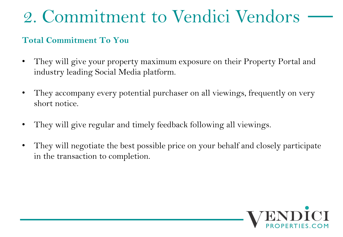## 2. Commitment to Vendici Vendors

### **Total Commitment To You**

- They will give your property maximum exposure on their Property Portal and industry leading Social Media platform.
- They accompany every potential purchaser on all viewings, frequently on very short notice.
- They will give regular and timely feedback following all viewings.
- They will negotiate the best possible price on your behalf and closely participate in the transaction to completion.

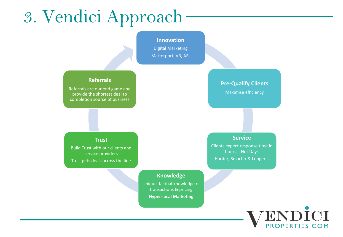## 3. Vendici Approach

### **Innovation** Digital Marketing Matterport, VR, AR. **Pre-Qualify Clients** Maximise efficiency **Service** Clients expect response time in hours .. Not Days Harder, Smarter & Longer .. **Knowledge** Unique factual knowledge of transactions & pricing **Hyper-local Marketing Trust** Build Trust with our clients and service providers Trust gets deals across the line **Referrals** Referrals are our end game and provide the shortest deal to completion source of business

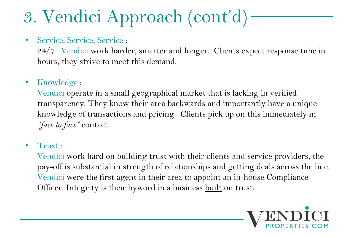## 3. Vendici Approach (cont'd)

• Service, Service, Service :

24/7. Vendici work harder, smarter and longer. Clients expect response time in hours, they strive to meet this demand.

• Knowledge :

Vendici operate in a small geographical market that is lacking in verified transparency. They know their area backwards and importantly have a unique knowledge of transactions and pricing. Clients pick up on this immediately in *"face to face"* contact.

• Trust:

Vendici work hard on building trust with their clients and service providers, the pay-off is substantial in strength of relationships and getting deals across the line. Vendici were the first agent in their area to appoint an in-house Compliance Officer. Integrity is their byword in a business built on trust.

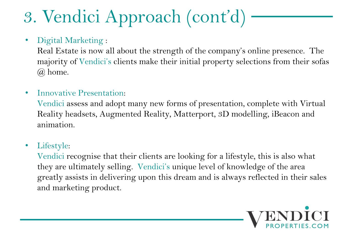## 3. Vendici Approach (cont'd)

• Digital Marketing :

Real Estate is now all about the strength of the company's online presence. The majority of Vendici's clients make their initial property selections from their sofas @ home.

• Innovative Presentation:

Vendici assess and adopt many new forms of presentation, complete with Virtual Reality headsets, Augmented Reality, Matterport, 3D modelling, iBeacon and animation.

• Lifestyle:

Vendici recognise that their clients are looking for a lifestyle, this is also what they are ultimately selling. Vendici's unique level of knowledge of the area greatly assists in delivering upon this dream and is always reflected in their sales and marketing product.

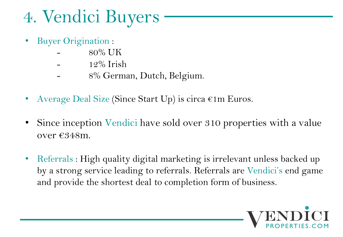## 4. Vendici Buyers

- Buyer Origination :
	- 80% UK
	- 12% Irish
	- 8% German, Dutch, Belgium.
- Average Deal Size (Since Start Up) is circa  $\epsilon$ 1m Euros.
- Since inception Vendici have sold over 310 properties with a value over €348m.
- Referrals : High quality digital marketing is irrelevant unless backed up by a strong service leading to referrals. Referrals are Vendici's end game and provide the shortest deal to completion form of business.

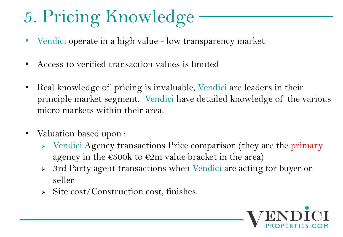## 5. Pricing Knowledge

- Vendici operate in a high value low transparency market
- Access to verified transaction values is limited
- Real knowledge of pricing is invaluable, Vendici are leaders in their principle market segment. Vendici have detailed knowledge of the various micro markets within their area.
- Valuation based upon :
	- $\triangleright$  Vendici Agency transactions Price comparison (they are the primary agency in the  $\epsilon$ 500k to  $\epsilon$ 2m value bracket in the area)
	- <sup>Ø</sup> 3rd Party agent transactions when Vendici are acting for buyer or seller
	- $\triangleright$  Site cost/Construction cost, finishes.

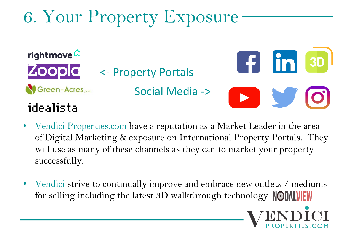## 6. Your Property Exposure



- Vendici Properties.com have a reputation as a Market Leader in the area of Digital Marketing & exposure on International Property Portals. They will use as many of these channels as they can to market your property successfully.
- Vendici strive to continually improve and embrace new outlets / mediums for selling including the latest 3D walkthrough technology **NODALVEW**

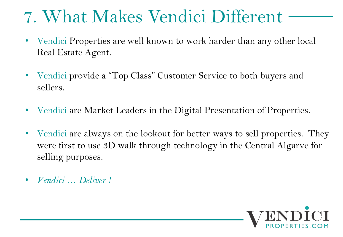## 7. What Makes Vendici Different

- Vendici Properties are well known to work harder than any other local Real Estate Agent.
- Vendici provide a "Top Class" Customer Service to both buyers and sellers.
- Vendici are Market Leaders in the Digital Presentation of Properties.
- Vendici are always on the lookout for better ways to sell properties. They were first to use 3D walk through technology in the Central Algarve for selling purposes.
- *Vendici … Deliver !*

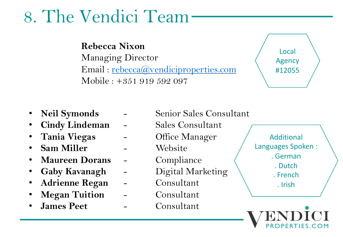## 8. The Vendici Team

### **Rebecca Nixon**

Managing Director Email : rebecca@vendiciproperties.com Mobile : +351 919 592 097

- 
- **Cindy Lindeman** Sales Consultant
- **Tania Viegas** Office Manager
- **Sam Miller** Website
- **Maureen Dorans** Compliance
- 
- **Adrienne Regan** Consultant
- **Megan Tuition** Consultant
- James Peet **-** Consultant
- **Neil Symonds** Senior Sales Consultant • **Gaby Kavanagh** - Digital Marketing Lang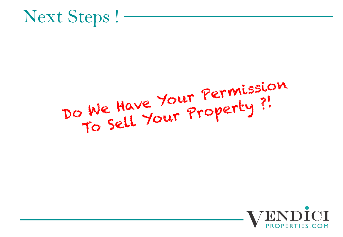

## DO We Have Your Permission We Have Your Property ?!

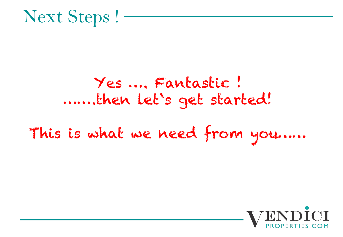

## Yes …. Fantastic ! …….then let`s get started!

## This is what we need from you……

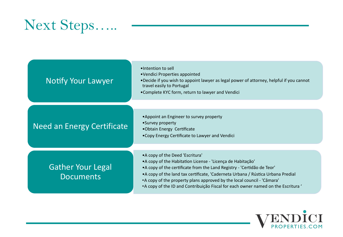## Next Steps…..

| <b>Notify Your Lawyer</b>                    | •Intention to sell<br>•Vendici Properties appointed<br>•Decide if you wish to appoint lawyer as legal power of attorney, helpful if you cannot<br>travel easily to Portugal<br>•Complete KYC form, return to lawyer and Vendici                                                                                                                                                                                                 |
|----------------------------------------------|---------------------------------------------------------------------------------------------------------------------------------------------------------------------------------------------------------------------------------------------------------------------------------------------------------------------------------------------------------------------------------------------------------------------------------|
| Need an Energy Certificate                   | • Appoint an Engineer to survey property<br>•Survey property<br>•Obtain Energy Certificate<br>• Copy Energy Certificate to Lawyer and Vendici                                                                                                                                                                                                                                                                                   |
| <b>Gather Your Legal</b><br><b>Documents</b> | • A copy of the Deed 'Escritura'<br>• A copy of the Habitation License - 'Licença de Habitação'<br>• A copy of the certificate from the Land Registry - 'Certidão de Teor'<br>• A copy of the land tax certificate, 'Caderneta Urbana / Rústica Urbana Predial<br>• A copy of the property plans approved by the local council - 'Câmara'<br>• A copy of the ID and Contribuição Fiscal for each owner named on the Escritura ' |

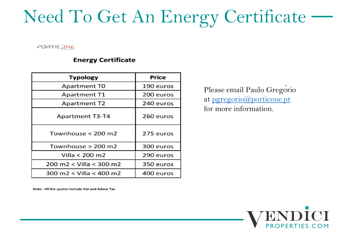## Need To Get An Energy Certif

### **PORTICONE**

### **Energy Certificate**

| <b>Typology</b>                        | <b>Price</b> |
|----------------------------------------|--------------|
| <b>Apartment TO</b>                    | 190 euros    |
| <b>Apartment T1</b>                    | 200 euros    |
| <b>Apartment T2</b>                    | 240 euros    |
| <b>Apartment T3-T4</b>                 | 260 euros    |
| Townhouse $<$ 200 m2                   | 275 euros    |
| Townhouse $> 200$ m2                   | 300 euros    |
| Villa $<$ 200 m2                       | 290 euros    |
| 200 m2 < Villa < 300 m2                | 350 euros    |
| $300 \text{ m}$ $2 <$ Villa $<$ 400 m2 | 400 euros    |

Please email Paulo ( at pgregorio@portic for more information

Note: All the quotes include Vat and Adene Tax

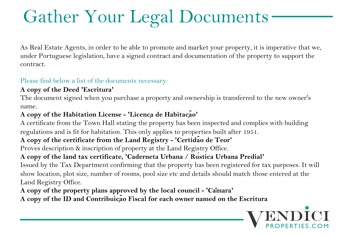## Gather Your Legal Documents

As Real Estate Agents, in order to be able to promote and market your property, it is imperative that we, under Portuguese legislation, have a signed contract and documentation of the property to support the contract.

### Please find below a list of the documents necessary:

### **A copy of the Deed 'Escritura'**

The document signed when you purchase a property and ownership is transferred to the new owner's name.

### **A copy of the Habitation License - 'Licença de Habitação'**

A certificate from the Town Hall stating the property has been inspected and complies with building regulations and is fit for habitation. This only applies to properties built after 1951.

### **A copy of the certificate from the Land Registry - 'Certidão de Teor'**

Proves description & inscription of property at the Land Registry Office.

### **A copy of the land tax certificate, 'Caderneta Urbana / Rústica Urbana Predial'**

Issued by the Tax Department confirming that the property has been registered for tax purposes. It will show location, plot size, number of rooms, pool size etc and details should match those entered at the Land Registry Office.

**A copy of the property plans approved by the local council - 'Câmara' A copy of the ID and Contribuição Fiscal for each owner named on the Escritura** 

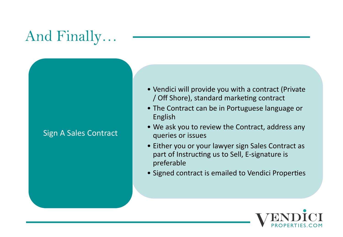## And Finally…

### Sign A Sales Contract

- Vendici will provide you with a contract (Private / Off Shore), standard marketing contract
- The Contract can be in Portuguese language or English
- We ask you to review the Contract, address any queries or issues
- Either you or your lawyer sign Sales Contract as part of Instructing us to Sell, E-signature is preferable
- Signed contract is emailed to Vendici Properties